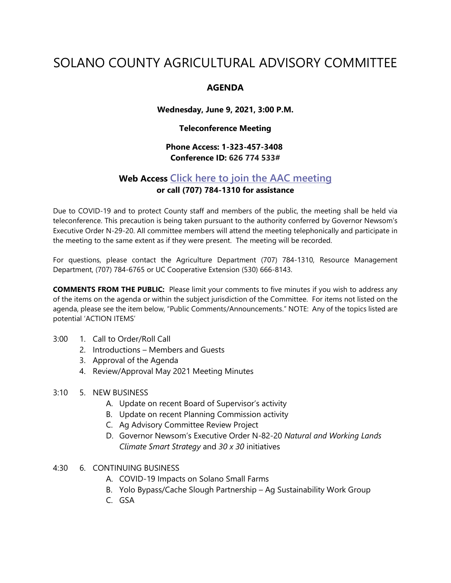# SOLANO COUNTY AGRICULTURAL ADVISORY COMMITTEE

#### **AGENDA**

**Wednesday, June 9, 2021, 3:00 P.M.**

**Teleconference Meeting**

### **Phone Access: 1-323-457-3408 Conference ID: 626 774 533#**

## **Web Access [Click here to join the AAC meeting](https://teams.microsoft.com/l/meetup-join/19%3ameeting_MDI1ZDEyYmItY2I4Zi00MWMxLWIxM2ItNzRiYmRmMWY5ZGNk%40thread.v2/0?context=%7b%22Tid%22%3a%225e7f20ac-e5f1-4f83-8c3b-ce44b8486421%22%2c%22Oid%22%3a%229b7e0b10-9feb-4114-92ef-db737a66fd13%22%7d) or call (707) 784-1310 for assistance**

Due to COVID-19 and to protect County staff and members of the public, the meeting shall be held via teleconference. This precaution is being taken pursuant to the authority conferred by Governor Newsom's Executive Order N-29-20. All committee members will attend the meeting telephonically and participate in the meeting to the same extent as if they were present. The meeting will be recorded.

For questions, please contact the Agriculture Department (707) 784-1310, Resource Management Department, (707) 784-6765 or UC Cooperative Extension (530) 666-8143.

**COMMENTS FROM THE PUBLIC:** Please limit your comments to five minutes if you wish to address any of the items on the agenda or within the subject jurisdiction of the Committee. For items not listed on the agenda, please see the item below, "Public Comments/Announcements." NOTE: Any of the topics listed are potential 'ACTION ITEMS'

- 3:00 1. Call to Order/Roll Call
	- 2. Introductions Members and Guests
	- 3. Approval of the Agenda
	- 4. Review/Approval May 2021 Meeting Minutes
- 3:10 5. NEW BUSINESS
	- A. Update on recent Board of Supervisor's activity
	- B. Update on recent Planning Commission activity
	- C. Ag Advisory Committee Review Project
	- D. Governor Newsom's Executive Order N-82-20 *Natural and Working Lands Climate Smart Strategy* and *30 x 30* initiatives
- 4:30 6. CONTINUING BUSINESS
	- A. COVID-19 Impacts on Solano Small Farms
	- B. Yolo Bypass/Cache Slough Partnership Ag Sustainability Work Group
	- C. GSA